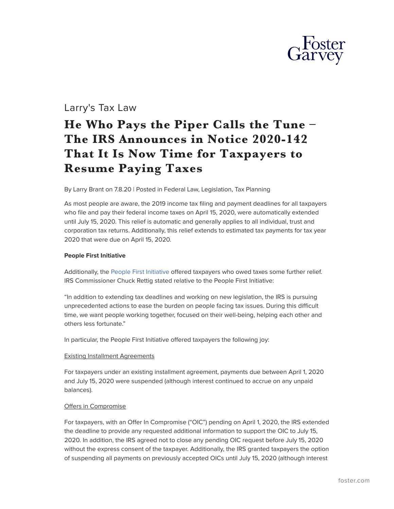

# Larry's Tax Law

# **He Who Pays the Piper Calls the Tune – The IRS Announces in Notice 2020-142 That It Is Now Time for Taxpayers to Resume Paying Taxes**

By Larry Brant on 7.8.20 | Posted in Federal Law, Legislation, Tax Planning

As most people are aware, the 2019 income tax filing and payment deadlines for all taxpayers who file and pay their federal income taxes on April 15, 2020, were automatically extended until July 15, 2020. This relief is automatic and generally applies to all individual, trust and corporation tax returns. Additionally, this relief extends to estimated tax payments for tax year 2020 that were due on April 15, 2020.

#### **People First Initiative**

Additionally, the [People First Initiative](https://www.irs.gov/newsroom/irs-unveils-new-people-first-initiative-covid-19-effort-temporarily-adjusts-suspends-key-compliance-program) offered taxpayers who owed taxes some further relief. IRS Commissioner Chuck Rettig stated relative to the People First Initiative:

"In addition to extending tax deadlines and working on new legislation, the IRS is pursuing unprecedented actions to ease the burden on people facing tax issues. During this difficult time, we want people working together, focused on their well-being, helping each other and others less fortunate."

In particular, the People First Initiative offered taxpayers the following joy:

#### Existing Installment Agreements

For taxpayers under an existing installment agreement, payments due between April 1, 2020 and July 15, 2020 were suspended (although interest continued to accrue on any unpaid balances).

# Offers in Compromise

For taxpayers, with an Offer In Compromise ("OIC") pending on April 1, 2020, the IRS extended the deadline to provide any requested additional information to support the OIC to July 15, 2020. In addition, the IRS agreed not to close any pending OIC request before July 15, 2020 without the express consent of the taxpayer. Additionally, the IRS granted taxpayers the option of suspending all payments on previously accepted OICs until July 15, 2020 (although interest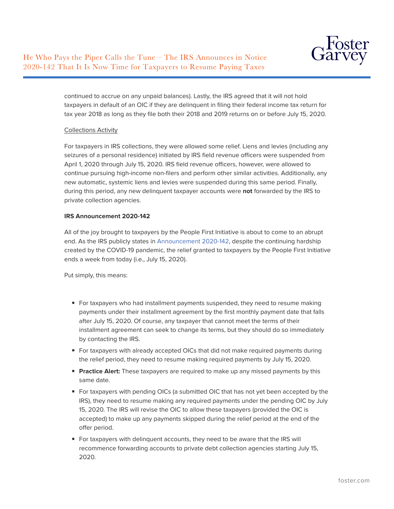

continued to accrue on any unpaid balances). Lastly, the IRS agreed that it will not hold taxpayers in default of an OIC if they are delinquent in filing their federal income tax return for tax year 2018 as long as they file both their 2018 and 2019 returns on or before July 15, 2020.

# Collections Activity

For taxpayers in IRS collections, they were allowed some relief. Liens and levies (including any seizures of a personal residence) initiated by IRS field revenue officers were suspended from April 1, 2020 through July 15, 2020. IRS field revenue officers, however, were allowed to continue pursuing high-income non-filers and perform other similar activities. Additionally, any new automatic, systemic liens and levies were suspended during this same period. Finally, during this period, any new delinquent taxpayer accounts were **not** forwarded by the IRS to private collection agencies.

#### **IRS Announcement 2020-142**

All of the joy brought to taxpayers by the People First Initiative is about to come to an abrupt end. As the IRS publicly states in [Announcement 2020-142,](https://www.irs.gov/newsroom/taxpayers-need-to-resume-payments-by-july-15) despite the continuing hardship created by the COVID-19 pandemic, the relief granted to taxpayers by the People First Initiative ends a week from today (i.e., July 15, 2020).

Put simply, this means:

- For taxpayers who had installment payments suspended, they need to resume making payments under their installment agreement by the first monthly payment date that falls after July 15, 2020. Of course, any taxpayer that cannot meet the terms of their installment agreement can seek to change its terms, but they should do so immediately by contacting the IRS.
- For taxpayers with already accepted OICs that did not make required payments during the relief period, they need to resume making required payments by July 15, 2020.
- **Practice Alert:** These taxpayers are required to make up any missed payments by this same date.
- For taxpayers with pending OICs (a submitted OIC that has not yet been accepted by the IRS), they need to resume making any required payments under the pending OIC by July 15, 2020. The IRS will revise the OIC to allow these taxpayers (provided the OIC is accepted) to make up any payments skipped during the relief period at the end of the offer period.
- For taxpayers with delinquent accounts, they need to be aware that the IRS will recommence forwarding accounts to private debt collection agencies starting July 15, 2020.